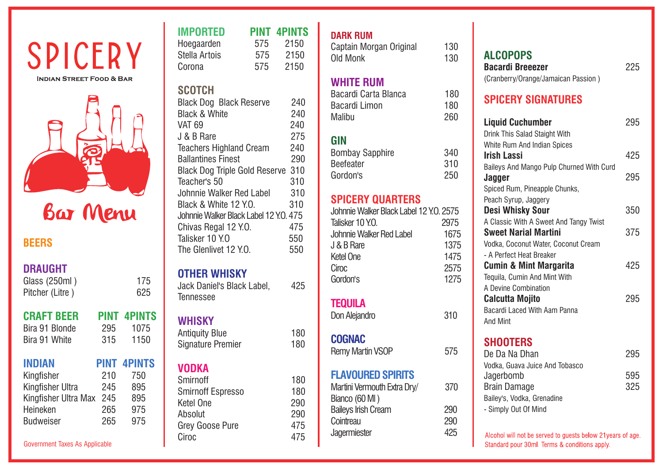# SPICERY **INDIAN STREET FOOD & BAR**



### **DRAUGHT**

Glass (250ml) 175<br>Pitcher (Litre) 625 Pitcher (Litre)

| <b>CRAFT BEER</b> | <b>PINT</b> |
|-------------------|-------------|
| Bira 91 Blonde    | 295         |
| Bira 91 White     | 315         |

# **INDIAN PINT 4PINTS**

| Kingfisher           | 210 | 750 |
|----------------------|-----|-----|
| Kingfisher Ultra     | 245 | 895 |
| Kingfisher Ultra Max | 245 | 895 |
| Heineken             | 265 | 975 |
| <b>Budweiser</b>     | 265 | 975 |

| <b>IMPORTED</b> |     | <b>PINT 4PINTS</b> |
|-----------------|-----|--------------------|
| Hoegaarden      | 575 | 2150               |
| Stella Artois   | 575 | 2150               |
| Corona          | 575 | 2150               |

### **SCOTCH**

| <b>Black Dog Black Reserve</b>         | 240 |
|----------------------------------------|-----|
| <b>Black &amp; White</b>               | 240 |
| <b>VAT 69</b>                          | 240 |
| J & B Rare                             | 275 |
| <b>Teachers Highland Cream</b>         | 240 |
| <b>Ballantines Finest</b>              | 290 |
| <b>Black Dog Triple Gold Reserve</b>   | 310 |
| Teacher's 50                           | 310 |
| Johnnie Walker Red Label               | 310 |
| Black & White 12 Y.O.                  | 310 |
| Johnnie Walker Black Label 12 Y.O. 475 |     |
| Chivas Regal 12 Y.O.                   | 475 |
| Talisker 10 Y.O                        | 550 |
| The Glenlivet 12 Y.O.                  | 550 |

# **OTHER WHISKY**

Jack Daniel's Black Label, 425 Tennessee

# **WHISKY**

**CRAFT BEER PINT 4PINTS** 1075 1150

| Antiquity Blue    | 180 |
|-------------------|-----|
| Signature Premier | 180 |

# **VODKA**

| 180 |
|-----|
| 180 |
| 290 |
| 290 |
| 475 |
| 475 |
|     |

### **DARK RUM**

| Captain Morgan Original | 130 |
|-------------------------|-----|
| Old Monk                | 130 |

# **WHITE RUM**

| Bacardi Carta Blanca | 180 |
|----------------------|-----|
| Bacardi Limon        | 180 |
| Malibu               | 260 |

# **GIN**

| Bombay Sapphire | 340 |
|-----------------|-----|
| Beefeater       | 310 |
| Gordon's        | 250 |

# **SPICERY QUARTERS**

| Johnnie Walker Black Label 12 Y.O. 2575 |      |
|-----------------------------------------|------|
| Talisker 10 Y.O.                        | 2975 |
| Johnnie Walker Red Label                | 1675 |
| J & B Rare                              | 1375 |
| Ketel One                               | 1475 |
| Ciroc                                   | 2575 |
| Gordon's                                | 1275 |

# **TEQUILA**

Don Alejandro 310

Remy Martin VSOP 575

# **FLAVOURED SPIRITS**

| Martini Vermouth Extra Dry/ | 370 |
|-----------------------------|-----|
| Bianco (60 MI)              |     |
| <b>Baileys Irish Cream</b>  | 290 |
| Cointreau                   | 290 |
| Jagermiester                | 425 |
|                             |     |

# **ALCOPOPS Bacardi Breeezer** 225 (Cranberry/Orange/Jamaican Passion )

# **SPICERY SIGNATURES**

#### **Liquid Cuchumber** 295 Drink This Salad Staight With White Rum And Indian Spices **Irish Lassi** 425 Baileys And Mango Pulp Churned With Curd **Jagger** 295 Spiced Rum, Pineapple Chunks, Peach Syrup, Jaggery **Desi Whisky Sour** 350 A Classic With A Sweet And Tangy Twist **Sweet Narial Martini** 375 Vodka, Coconut Water, Coconut Cream - A Perfect Heat Breaker **Cumin & Mint Margarita** 425 Tequila, Cumin And Mint With A Devine Combination **Calcutta Mojito** 295 Bacardi Laced With Aam Panna And Mint **SHOOTERS** De Da Na Dhan 295 Vodka, Guava Juice And Tobasco Jagerbomb 595 Brain Damage 325 Bailey's, Vodka, Grenadine

Alcohol will not be served to guests below 21 years of age. Standard pour 30ml. Terms & conditions apply.

- Simply Out Of Mind

# **COGNAC**